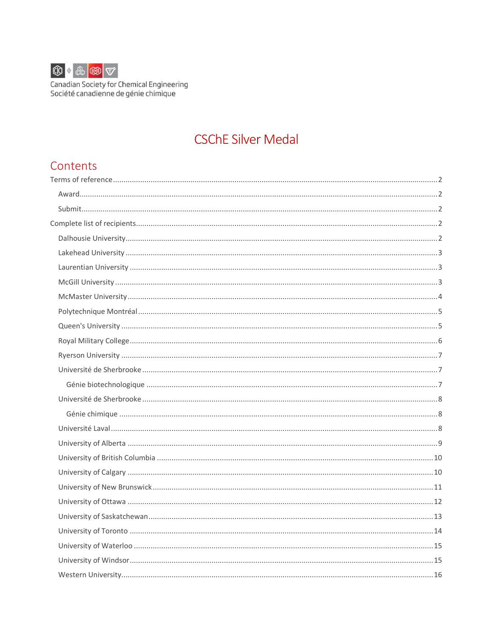

# **CSChE Silver Medal**

### Contents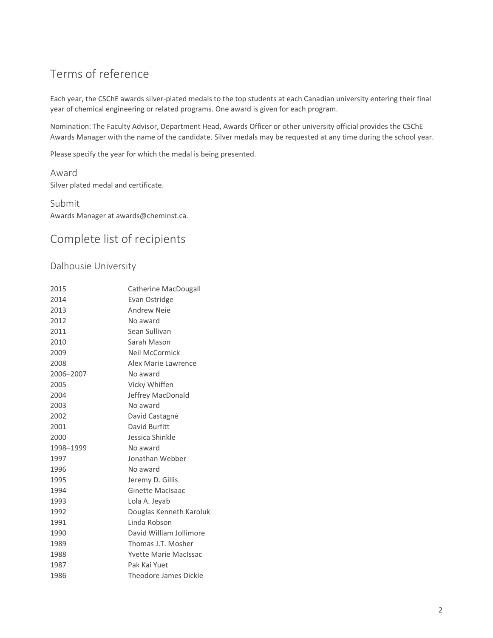## <span id="page-1-0"></span>Terms of reference

Each year, the CSChE awards silver-plated medals to the top students at each Canadian university entering their final year of chemical engineering or related programs. One award is given for each program.

Nomination: The Faculty Advisor, Department Head, Awards Officer or other university official provides the CSChE Awards Manager with the name of the candidate. Silver medals may be requested at any time during the school year.

Please specify the year for which the medal is being presented.

<span id="page-1-1"></span>Award Silver plated medal and certificate.

<span id="page-1-2"></span>Submit Awards Manager at awards@cheminst.ca.

# <span id="page-1-3"></span>Complete list of recipients

#### <span id="page-1-4"></span>Dalhousie University

| 2015      | Catherine MacDougall         |
|-----------|------------------------------|
| 2014      | Evan Ostridge                |
| 2013      | Andrew Neie                  |
| 2012      | No award                     |
| 2011      | Sean Sullivan                |
| 2010      | Sarah Mason                  |
| 2009      | Neil McCormick               |
| 2008      | Alex Marie Lawrence          |
| 2006-2007 | No award                     |
| 2005      | Vicky Whiffen                |
| 2004      | Jeffrey MacDonald            |
| 2003      | No award                     |
| 2002      | David Castagné               |
| 2001      | David Burfitt                |
| 2000      | Jessica Shinkle              |
| 1998-1999 | No award                     |
| 1997      | Jonathan Webber              |
| 1996      | No award                     |
| 1995      | Jeremy D. Gillis             |
| 1994      | <b>Ginette MacIsaac</b>      |
| 1993      | Lola A. Jeyab                |
| 1992      | Douglas Kenneth Karoluk      |
| 1991      | Linda Robson                 |
| 1990      | David William Jollimore      |
| 1989      | Thomas J.T. Mosher           |
| 1988      | <b>Yvette Marie MacIssac</b> |
| 1987      | Pak Kai Yuet                 |
| 1986      | Theodore James Dickie        |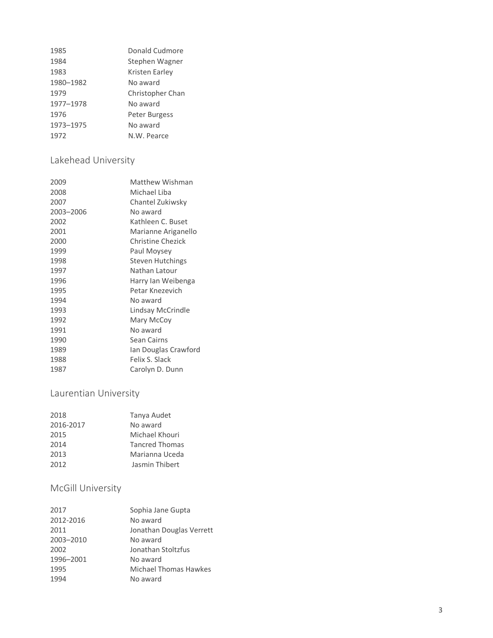| 1985      | Donald Cudmore   |
|-----------|------------------|
| 1984      | Stephen Wagner   |
| 1983      | Kristen Earley   |
| 1980-1982 | No award         |
| 1979      | Christopher Chan |
| 1977-1978 | No award         |
| 1976      | Peter Burgess    |
| 1973-1975 | No award         |
| 1972      | N.W. Pearce      |

### <span id="page-2-0"></span>Lakehead University

| 2009      | Matthew Wishman          |
|-----------|--------------------------|
| 2008      | Michael Liba             |
| 2007      | Chantel Zukiwsky         |
| 2003-2006 | No award                 |
| 2002      | Kathleen C. Buset        |
| 2001      | Marianne Ariganello      |
| 2000      | <b>Christine Chezick</b> |
| 1999      | Paul Moysey              |
| 1998      | Steven Hutchings         |
| 1997      | Nathan Latour            |
| 1996      | Harry lan Weibenga       |
| 1995      | Petar Knezevich          |
| 1994      | No award                 |
| 1993      | Lindsay McCrindle        |
| 1992      | Mary McCoy               |
| 1991      | No award                 |
| 1990      | Sean Cairns              |
| 1989      | lan Douglas Crawford     |
| 1988      | Felix S. Slack           |
| 1987      | Carolyn D. Dunn          |

### <span id="page-2-1"></span>Laurentian University

| 2018      | Tanya Audet           |
|-----------|-----------------------|
| 2016-2017 | No award              |
| 2015      | Michael Khouri        |
| 2014      | <b>Tancred Thomas</b> |
| 2013      | Marianna Uceda        |
| 2012      | Jasmin Thibert        |

### <span id="page-2-2"></span>McGill University

| 2017      | Sophia Jane Gupta            |
|-----------|------------------------------|
| 2012-2016 | No award                     |
| 2011      | Jonathan Douglas Verrett     |
| 2003-2010 | No award                     |
| 2002      | Jonathan Stoltzfus           |
| 1996-2001 | No award                     |
| 1995      | <b>Michael Thomas Hawkes</b> |
| 1994      | No award                     |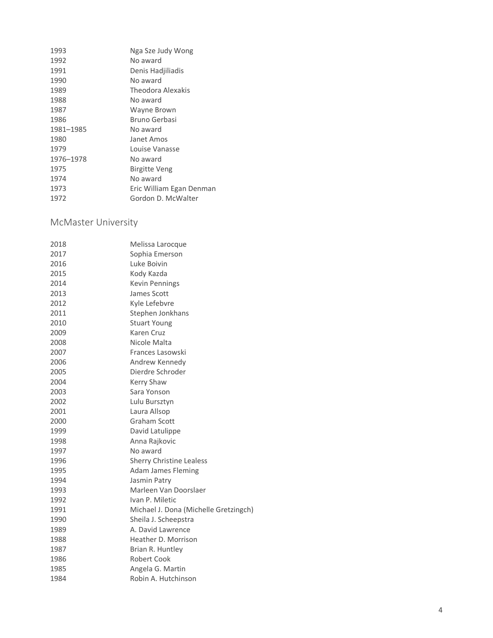| 1993      | Nga Sze Judy Wong        |
|-----------|--------------------------|
| 1992      | No award                 |
| 1991      | Denis Hadjiliadis        |
| 1990      | No award                 |
| 1989      | Theodora Alexakis        |
| 1988      | No award                 |
| 1987      | Wayne Brown              |
| 1986      | Bruno Gerbasi            |
| 1981-1985 | No award                 |
| 1980      | Janet Amos               |
| 1979      | Louise Vanasse           |
| 1976-1978 | No award                 |
| 1975      | Birgitte Veng            |
| 1974      | No award                 |
| 1973      | Eric William Egan Denman |
| 1972      | Gordon D. McWalter       |
|           |                          |

### <span id="page-3-0"></span>McMaster University

| 2018 | Melissa Larocque                      |
|------|---------------------------------------|
| 2017 | Sophia Emerson                        |
| 2016 | Luke Boivin                           |
| 2015 | Kody Kazda                            |
| 2014 | <b>Kevin Pennings</b>                 |
| 2013 | James Scott                           |
| 2012 | Kyle Lefebvre                         |
| 2011 | Stephen Jonkhans                      |
| 2010 | <b>Stuart Young</b>                   |
| 2009 | Karen Cruz                            |
| 2008 | Nicole Malta                          |
| 2007 | Frances Lasowski                      |
| 2006 | Andrew Kennedy                        |
| 2005 | Dierdre Schroder                      |
| 2004 | <b>Kerry Shaw</b>                     |
| 2003 | Sara Yonson                           |
| 2002 | Lulu Bursztyn                         |
| 2001 | Laura Allsop                          |
| 2000 | <b>Graham Scott</b>                   |
| 1999 | David Latulippe                       |
| 1998 | Anna Rajkovic                         |
| 1997 | No award                              |
| 1996 | <b>Sherry Christine Lealess</b>       |
| 1995 | <b>Adam James Fleming</b>             |
| 1994 | Jasmin Patry                          |
| 1993 | Marleen Van Doorslaer                 |
| 1992 | Ivan P. Miletic                       |
| 1991 | Michael J. Dona (Michelle Gretzingch) |
| 1990 | Sheila J. Scheepstra                  |
| 1989 | A. David Lawrence                     |
| 1988 | Heather D. Morrison                   |
| 1987 | Brian R. Huntley                      |
| 1986 | Robert Cook                           |
| 1985 | Angela G. Martin                      |
| 1984 | Robin A. Hutchinson                   |
|      |                                       |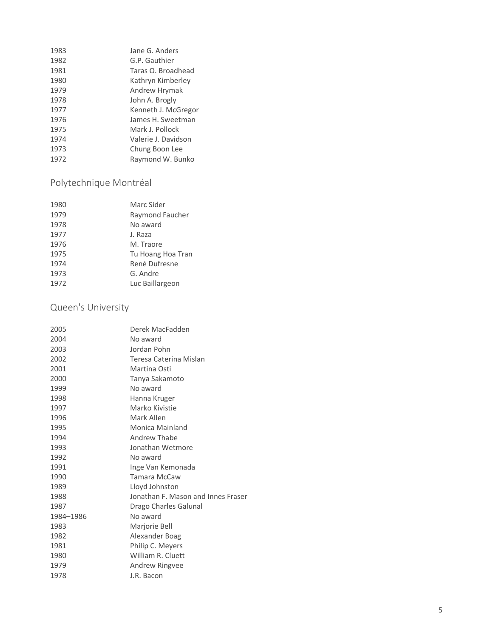| Jane G. Anders      |
|---------------------|
| G.P. Gauthier       |
| Taras O. Broadhead  |
| Kathryn Kimberley   |
| Andrew Hrymak       |
| John A. Brogly      |
| Kenneth J. McGregor |
| James H. Sweetman   |
| Mark J. Pollock     |
| Valerie J. Davidson |
| Chung Boon Lee      |
| Raymond W. Bunko    |
|                     |

# <span id="page-4-0"></span>Polytechnique Montréal

| 1980 | Marc Sider        |
|------|-------------------|
| 1979 | Raymond Faucher   |
| 1978 | No award          |
| 1977 | J. Raza           |
| 1976 | M. Traore         |
| 1975 | Tu Hoang Hoa Tran |
| 1974 | René Dufresne     |
| 1973 | G. Andre          |
| 1972 | Luc Baillargeon   |

### <span id="page-4-1"></span>Queen's University

| Derek MacFadden                    |
|------------------------------------|
| No award                           |
| Jordan Pohn                        |
| Teresa Caterina Mislan             |
| Martina Osti                       |
| Tanya Sakamoto                     |
| No award                           |
| Hanna Kruger                       |
| Marko Kivistie                     |
| Mark Allen                         |
| Monica Mainland                    |
| Andrew Thabe                       |
| Jonathan Wetmore                   |
| No award                           |
| Inge Van Kemonada                  |
| <b>Tamara McCaw</b>                |
| Lloyd Johnston                     |
| Jonathan F. Mason and Innes Fraser |
| Drago Charles Galunal              |
| No award                           |
| Marjorie Bell                      |
| Alexander Boag                     |
| Philip C. Meyers                   |
| William R. Cluett                  |
| Andrew Ringvee                     |
| J.R. Bacon                         |
|                                    |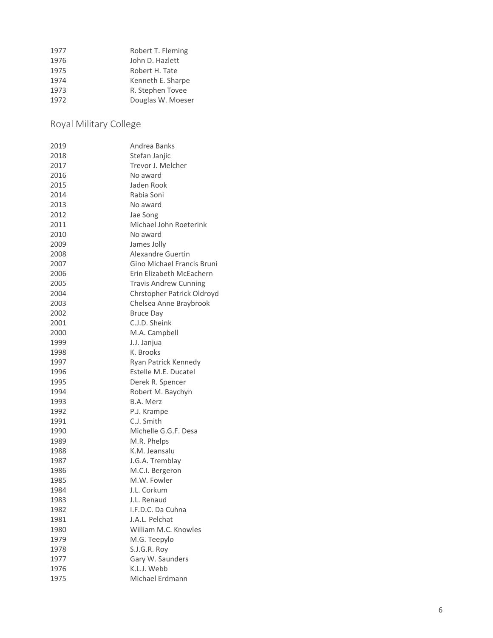| 1977 | Robert T. Fleming |
|------|-------------------|
| 1976 | John D. Hazlett   |
| 1975 | Robert H. Tate    |
| 1974 | Kenneth E. Sharpe |
| 1973 | R. Stephen Tovee  |
| 1972 | Douglas W. Moeser |

<span id="page-5-0"></span>Royal Military College

| 2019 | Andrea Banks                 |
|------|------------------------------|
| 2018 | Stefan Janjic                |
| 2017 | Trevor J. Melcher            |
| 2016 | No award                     |
| 2015 | Jaden Rook                   |
| 2014 | Rabia Soni                   |
| 2013 | No award                     |
| 2012 | Jae Song                     |
| 2011 | Michael John Roeterink       |
| 2010 | No award                     |
| 2009 | James Jolly                  |
| 2008 | Alexandre Guertin            |
| 2007 | Gino Michael Francis Bruni   |
| 2006 | Erin Elizabeth McEachern     |
| 2005 | <b>Travis Andrew Cunning</b> |
| 2004 | Chrstopher Patrick Oldroyd   |
| 2003 | Chelsea Anne Braybrook       |
| 2002 | <b>Bruce Day</b>             |
| 2001 | C.J.D. Sheink                |
| 2000 | M.A. Campbell                |
| 1999 | J.J. Janjua                  |
| 1998 | K. Brooks                    |
| 1997 | Ryan Patrick Kennedy         |
| 1996 | Estelle M.E. Ducatel         |
| 1995 | Derek R. Spencer             |
| 1994 | Robert M. Baychyn            |
| 1993 | B.A. Merz                    |
| 1992 | P.J. Krampe                  |
| 1991 | C.J. Smith                   |
| 1990 | Michelle G.G.F. Desa         |
| 1989 | M.R. Phelps                  |
| 1988 | K.M. Jeansalu                |
| 1987 | J.G.A. Tremblay              |
| 1986 | M.C.I. Bergeron              |
| 1985 | M.W. Fowler                  |
| 1984 | J.L. Corkum                  |
| 1983 | J.L. Renaud                  |
| 1982 | I.F.D.C. Da Cuhna            |
| 1981 | J.A.L. Pelchat               |
| 1980 | William M.C. Knowles         |
| 1979 | M.G. Teepylo                 |
| 1978 | S.J.G.R. Roy                 |
| 1977 | Gary W. Saunders             |
| 1976 | K.L.J. Webb                  |
| 1975 | Michael Erdmann              |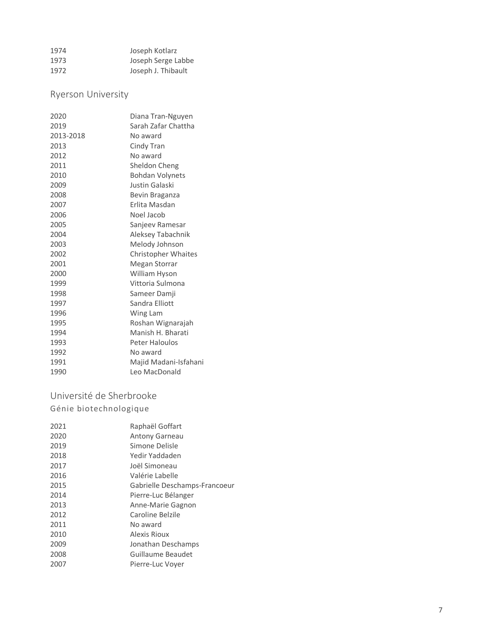| 1974 | Joseph Kotlarz     |
|------|--------------------|
| 1973 | Joseph Serge Labbe |
| 1972 | Joseph J. Thibault |

### <span id="page-6-0"></span>Ryerson University

| 2020      | Diana Tran-Nguyen          |
|-----------|----------------------------|
| 2019      | Sarah Zafar Chattha        |
| 2013-2018 | No award                   |
| 2013      | Cindy Tran                 |
| 2012      | No award                   |
| 2011      | Sheldon Cheng              |
| 2010      | <b>Bohdan Volynets</b>     |
| 2009      | Justin Galaski             |
| 2008      | Bevin Braganza             |
| 2007      | Erlita Masdan              |
| 2006      | Noel Jacob                 |
| 2005      | Sanjeev Ramesar            |
| 2004      | Aleksey Tabachnik          |
| 2003      | Melody Johnson             |
| 2002      | <b>Christopher Whaites</b> |
| 2001      | Megan Storrar              |
| 2000      | William Hyson              |
| 1999      | Vittoria Sulmona           |
| 1998      | Sameer Damji               |
| 1997      | Sandra Elliott             |
| 1996      | Wing Lam                   |
| 1995      | Roshan Wignarajah          |
| 1994      | Manish H. Bharati          |
| 1993      | <b>Peter Haloulos</b>      |
| 1992      | No award                   |
| 1991      | Majid Madani-Isfahani      |
| 1990      | Leo MacDonald              |

#### <span id="page-6-2"></span><span id="page-6-1"></span>Université de Sherbrooke Génie biotechnologique

| 2021 | Raphaël Goffart               |
|------|-------------------------------|
| 2020 | <b>Antony Garneau</b>         |
| 2019 | Simone Delisle                |
| 2018 | Yedir Yaddaden                |
| 2017 | Joël Simoneau                 |
| 2016 | Valérie Labelle               |
| 2015 | Gabrielle Deschamps-Francoeur |
| 2014 | Pierre-Luc Bélanger           |
| 2013 | Anne-Marie Gagnon             |
| 2012 | Caroline Belzile              |
| 2011 | No award                      |
| 2010 | Alexis Rioux                  |
| 2009 | Jonathan Deschamps            |
| 2008 | Guillaume Beaudet             |
| 2007 | Pierre-Luc Voyer              |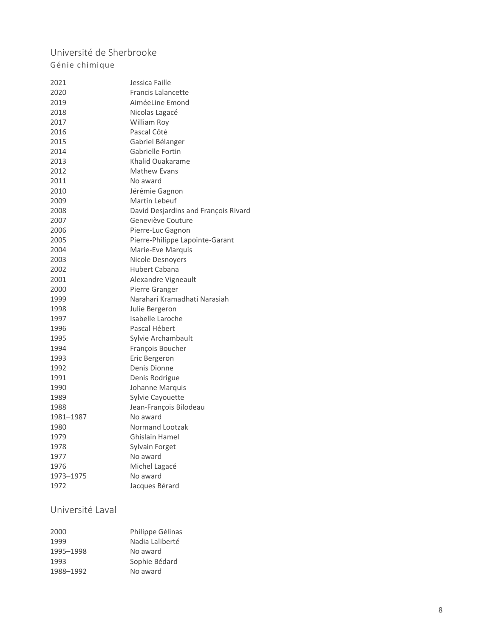#### <span id="page-7-1"></span><span id="page-7-0"></span>Université de Sherbrooke Génie chimique

| 2021      | Jessica Faille                       |
|-----------|--------------------------------------|
| 2020      | <b>Francis Lalancette</b>            |
| 2019      | AiméeLine Emond                      |
| 2018      | Nicolas Lagacé                       |
| 2017      | <b>William Roy</b>                   |
| 2016      | Pascal Côté                          |
| 2015      | Gabriel Bélanger                     |
| 2014      | Gabrielle Fortin                     |
| 2013      | Khalid Ouakarame                     |
| 2012      | <b>Mathew Evans</b>                  |
| 2011      | No award                             |
| 2010      | Jérémie Gagnon                       |
| 2009      | Martin Lebeuf                        |
| 2008      | David Desjardins and François Rivard |
| 2007      | Geneviève Couture                    |
| 2006      | Pierre-Luc Gagnon                    |
| 2005      | Pierre-Philippe Lapointe-Garant      |
| 2004      | Marie-Eve Marquis                    |
| 2003      | Nicole Desnovers                     |
| 2002      | Hubert Cabana                        |
| 2001      | Alexandre Vigneault                  |
| 2000      | Pierre Granger                       |
| 1999      | Narahari Kramadhati Narasiah         |
| 1998      | Julie Bergeron                       |
| 1997      | Isabelle Laroche                     |
| 1996      | Pascal Hébert                        |
| 1995      | Sylvie Archambault                   |
| 1994      | François Boucher                     |
| 1993      | Eric Bergeron                        |
| 1992      | Denis Dionne                         |
| 1991      | Denis Rodrigue                       |
| 1990      | Johanne Marquis                      |
| 1989      | Sylvie Cayouette                     |
| 1988      | Jean-François Bilodeau               |
| 1981-1987 | No award                             |
| 1980      | <b>Normand Lootzak</b>               |
| 1979      | Ghislain Hamel                       |
| 1978      | Sylvain Forget                       |
| 1977      | No award                             |
| 1976      | Michel Lagacé                        |
| 1973-1975 | No award                             |
| 1972      | Jacques Bérard                       |
|           |                                      |

### <span id="page-7-2"></span>Université Laval

| 2000      | Philippe Gélinas |
|-----------|------------------|
| 1999      | Nadia Laliberté  |
| 1995-1998 | No award         |
| 1993      | Sophie Bédard    |
| 1988-1992 | No award         |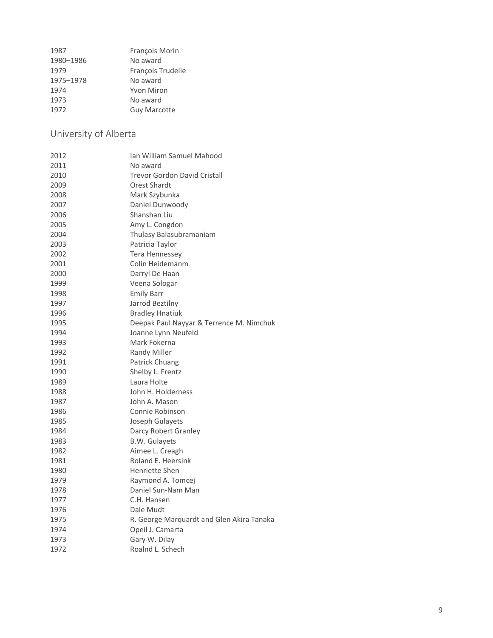| 1987      | François Morin      |
|-----------|---------------------|
| 1980-1986 | No award            |
| 1979      | François Trudelle   |
| 1975-1978 | No award            |
| 1974      | <b>Yvon Miron</b>   |
| 1973      | No award            |
| 1972      | <b>Guy Marcotte</b> |
|           |                     |

<span id="page-8-0"></span>University of Alberta

| 2012 | Ian William Samuel Mahood                 |
|------|-------------------------------------------|
| 2011 | No award                                  |
| 2010 | <b>Trevor Gordon David Cristall</b>       |
| 2009 | Orest Shardt                              |
| 2008 | Mark Szybunka                             |
| 2007 | Daniel Dunwoody                           |
| 2006 | Shanshan Liu                              |
| 2005 | Amy L. Congdon                            |
| 2004 | Thulasy Balasubramaniam                   |
| 2003 | Patricia Taylor                           |
| 2002 | Tera Hennessey                            |
| 2001 | Colin Heidemanm                           |
| 2000 | Darryl De Haan                            |
| 1999 | Veena Sologar                             |
| 1998 | <b>Emily Barr</b>                         |
| 1997 | Jarrod Beztilny                           |
| 1996 | <b>Bradley Hnatiuk</b>                    |
| 1995 | Deepak Paul Nayyar & Terrence M. Nimchuk  |
| 1994 | Joanne Lynn Neufeld                       |
| 1993 | Mark Fokerna                              |
| 1992 | Randy Miller                              |
| 1991 | Patrick Chuang                            |
| 1990 | Shelby L. Frentz                          |
| 1989 | Laura Holte                               |
| 1988 | John H. Holderness                        |
| 1987 | John A. Mason                             |
| 1986 | Connie Robinson                           |
| 1985 | Joseph Gulayets                           |
| 1984 | Darcy Robert Granley                      |
| 1983 | <b>B.W. Gulayets</b>                      |
| 1982 | Aimee L. Creagh                           |
| 1981 | Roland E. Heersink                        |
| 1980 | Henriette Shen                            |
| 1979 | Raymond A. Tomcej                         |
| 1978 | Daniel Sun-Nam Man                        |
| 1977 | C.H. Hansen                               |
| 1976 | Dale Mudt                                 |
| 1975 | R. George Marquardt and Glen Akira Tanaka |
| 1974 | Opeil J. Camarta                          |
| 1973 | Gary W. Dilay                             |
| 1972 | Roalnd L. Schech                          |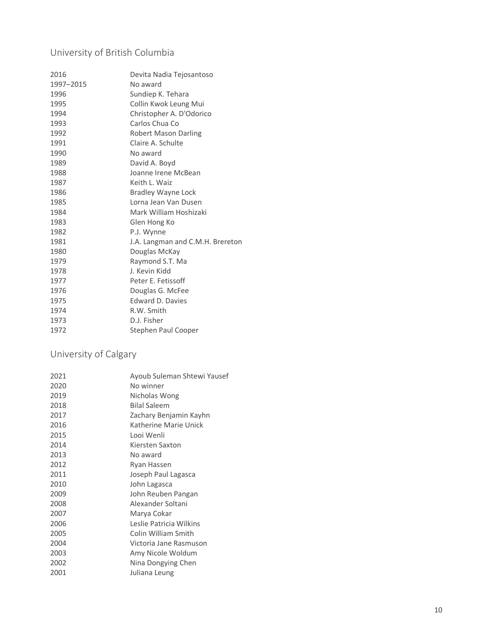### <span id="page-9-0"></span>University of British Columbia

| 2016      | Devita Nadia Tejosantoso         |
|-----------|----------------------------------|
| 1997-2015 | No award                         |
| 1996      | Sundiep K. Tehara                |
| 1995      | Collin Kwok Leung Mui            |
| 1994      | Christopher A. D'Odorico         |
| 1993      | Carlos Chua Co                   |
| 1992      | <b>Robert Mason Darling</b>      |
| 1991      | Claire A. Schulte                |
| 1990      | No award                         |
| 1989      | David A. Boyd                    |
| 1988      | Joanne Irene McBean              |
| 1987      | Keith L. Waiz                    |
| 1986      | <b>Bradley Wayne Lock</b>        |
| 1985      | Lorna Jean Van Dusen             |
| 1984      | Mark William Hoshizaki           |
| 1983      | Glen Hong Ko                     |
| 1982      | P.J. Wynne                       |
| 1981      | J.A. Langman and C.M.H. Brereton |
| 1980      | Douglas McKay                    |
| 1979      | Raymond S.T. Ma                  |
| 1978      | J. Kevin Kidd                    |
| 1977      | Peter E. Fetissoff               |
| 1976      | Douglas G. McFee                 |
| 1975      | Edward D. Davies                 |
| 1974      | R.W. Smith                       |
| 1973      | D.J. Fisher                      |
| 1972      | Stephen Paul Cooper              |

### <span id="page-9-1"></span>University of Calgary

| 2021 | Ayoub Suleman Shtewi Yausef |
|------|-----------------------------|
| 2020 | No winner                   |
| 2019 | Nicholas Wong               |
| 2018 | <b>Bilal Saleem</b>         |
| 2017 | Zachary Benjamin Kayhn      |
| 2016 | Katherine Marie Unick       |
| 2015 | Looi Wenli                  |
| 2014 | Kiersten Saxton             |
| 2013 | No award                    |
| 2012 | Ryan Hassen                 |
| 2011 | Joseph Paul Lagasca         |
| 2010 | John Lagasca                |
| 2009 | John Reuben Pangan          |
| 2008 | Alexander Soltani           |
| 2007 | Marya Cokar                 |
| 2006 | Leslie Patricia Wilkins     |
| 2005 | Colin William Smith         |
| 2004 | Victoria Jane Rasmuson      |
| 2003 | Amy Nicole Woldum           |
| 2002 | Nina Dongying Chen          |
| 2001 | Juliana Leung               |
|      |                             |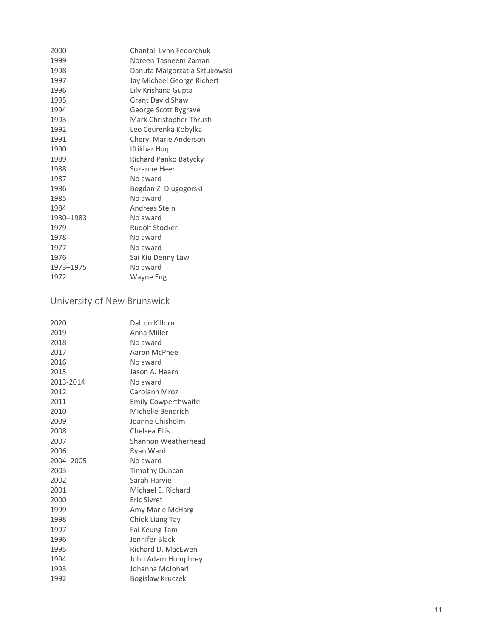| 2000      | Chantall Lynn Fedorchuk       |
|-----------|-------------------------------|
| 1999      | Noreen Tasneem Zaman          |
| 1998      | Danuta Malgorzatia Sztukowski |
| 1997      | Jay Michael George Richert    |
| 1996      | Lily Krishana Gupta           |
| 1995      | <b>Grant David Shaw</b>       |
| 1994      | George Scott Bygrave          |
| 1993      | Mark Christopher Thrush       |
| 1992      | Leo Ceurenka Kobylka          |
| 1991      | Cheryl Marie Anderson         |
| 1990      | Iftikhar Huq                  |
| 1989      | Richard Panko Batycky         |
| 1988      | Suzanne Heer                  |
| 1987      | No award                      |
| 1986      | Bogdan Z. Dlugogorski         |
| 1985      | No award                      |
| 1984      | Andreas Stein                 |
| 1980-1983 | No award                      |
| 1979      | <b>Rudolf Stocker</b>         |
| 1978      | No award                      |
| 1977      | No award                      |
| 1976      | Sai Kiu Denny Law             |
| 1973-1975 | No award                      |
| 1972      | Wayne Eng                     |

### <span id="page-10-0"></span>University of New Brunswick

| Dalton Killorn             |
|----------------------------|
| Anna Miller                |
| No award                   |
| Aaron McPhee               |
| No award                   |
| Jason A. Hearn             |
| No award                   |
| Carolann Mroz              |
| <b>Emily Cowperthwaite</b> |
| Michelle Bendrich          |
| Joanne Chisholm            |
| Chelsea Ellis              |
| Shannon Weatherhead        |
| Ryan Ward                  |
| No award                   |
| <b>Timothy Duncan</b>      |
| Sarah Harvie               |
| Michael E. Richard         |
| <b>Fric Sivret</b>         |
| Amy Marie McHarg           |
| Chiok Liang Tay            |
| Fai Keung Tam              |
| Jennifer Black             |
| Richard D. MacEwen         |
| John Adam Humphrey         |
| Johanna McJohari           |
| Bogislaw Kruczek           |
|                            |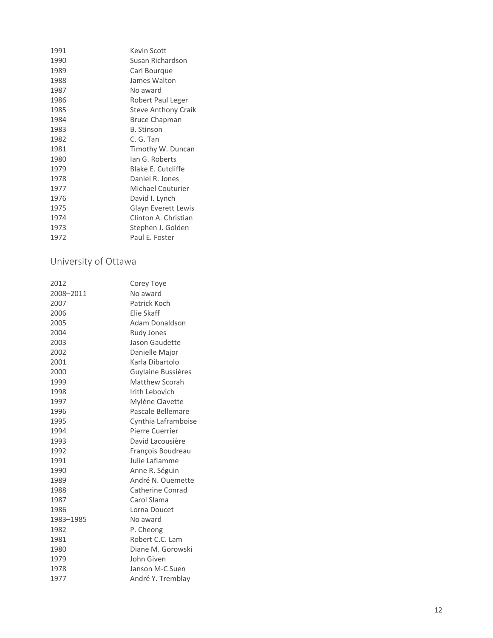| 1991 | <b>Kevin Scott</b>         |
|------|----------------------------|
| 1990 | Susan Richardson           |
| 1989 | Carl Bourgue               |
| 1988 | James Walton               |
| 1987 | No award                   |
| 1986 | Robert Paul Leger          |
| 1985 | <b>Steve Anthony Craik</b> |
| 1984 | <b>Bruce Chapman</b>       |
| 1983 | <b>B.</b> Stinson          |
| 1982 | C. G. Tan                  |
| 1981 | Timothy W. Duncan          |
| 1980 | lan G. Roberts             |
| 1979 | <b>Blake E. Cutcliffe</b>  |
| 1978 | Daniel R. Jones            |
| 1977 | <b>Michael Couturier</b>   |
| 1976 | David I. Lynch             |
| 1975 | <b>Glayn Everett Lewis</b> |
| 1974 | Clinton A. Christian       |
| 1973 | Stephen J. Golden          |
| 1972 | Paul E. Foster             |

#### <span id="page-11-0"></span>University of Ottawa

| 2012      | Corey Toye          |
|-----------|---------------------|
| 2008-2011 | No award            |
| 2007      | Patrick Koch        |
| 2006      | Elie Skaff          |
| 2005      | Adam Donaldson      |
| 2004      | <b>Rudy Jones</b>   |
| 2003      | Jason Gaudette      |
| 2002      | Danielle Major      |
| 2001      | Karla Dibartolo     |
| 2000      | Guylaine Bussières  |
| 1999      | Matthew Scorah      |
| 1998      | Irith Lebovich      |
| 1997      | Mylène Clavette     |
| 1996      | Pascale Bellemare   |
| 1995      | Cynthia Laframboise |
| 1994      | Pierre Cuerrier     |
| 1993      | David Lacousière    |
| 1992      | François Boudreau   |
| 1991      | Julie Laflamme      |
| 1990      | Anne R. Séguin      |
| 1989      | André N. Ouemette   |
| 1988      | Catherine Conrad    |
| 1987      | Carol Slama         |
| 1986      | Lorna Doucet        |
| 1983-1985 | No award            |
| 1982      | P. Cheong           |
| 1981      | Robert C.C. Lam     |
| 1980      | Diane M. Gorowski   |
| 1979      | John Given          |
| 1978      | Janson M-C Suen     |
| 1977      | André Y. Tremblay   |
|           |                     |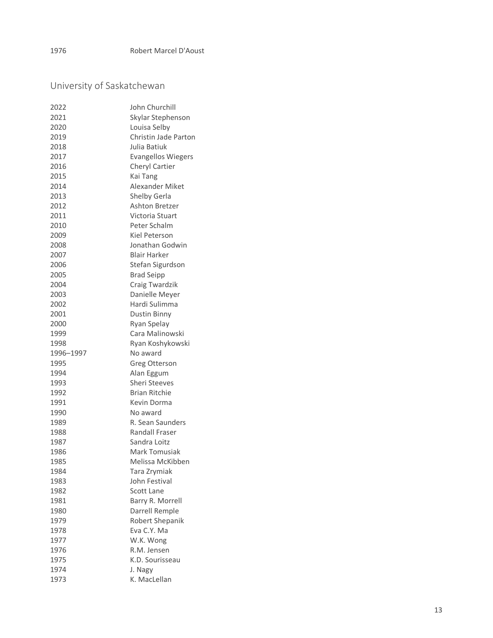### <span id="page-12-0"></span>University of Saskatchewan

| 2022      | John Churchill            |
|-----------|---------------------------|
| 2021      | Skylar Stephenson         |
| 2020      | Louisa Selby              |
| 2019      | Christin Jade Parton      |
| 2018      | Julia Batiuk              |
| 2017      | <b>Evangellos Wiegers</b> |
| 2016      | Cheryl Cartier            |
| 2015      | Kai Tang                  |
| 2014      | <b>Alexander Miket</b>    |
| 2013      | Shelby Gerla              |
| 2012      | Ashton Bretzer            |
| 2011      | Victoria Stuart           |
| 2010      | Peter Schalm              |
| 2009      | Kiel Peterson             |
| 2008      | Jonathan Godwin           |
| 2007      | <b>Blair Harker</b>       |
| 2006      | Stefan Sigurdson          |
| 2005      | <b>Brad Seipp</b>         |
| 2004      | Craig Twardzik            |
| 2003      | Danielle Meyer            |
| 2002      | Hardi Sulimma             |
| 2001      | <b>Dustin Binny</b>       |
| 2000      | Ryan Spelay               |
| 1999      | Cara Malinowski           |
| 1998      | Ryan Koshykowski          |
|           |                           |
| 1996-1997 | No award                  |
| 1995      | Greg Otterson             |
| 1994      | Alan Eggum                |
| 1993      | <b>Sheri Steeves</b>      |
| 1992      | <b>Brian Ritchie</b>      |
| 1991      | Kevin Dorma               |
| 1990      | No award                  |
| 1989      | R. Sean Saunders          |
| 1988      | Randall Fraser            |
| 1987      | Sandra Loitz              |
| 1986      | Mark Tomusiak             |
| 1985      | Melissa McKibben          |
| 1984      | Tara Zrymiak              |
| 1983      | John Festival             |
| 1982      | <b>Scott Lane</b>         |
| 1981      | Barry R. Morrell          |
| 1980      | Darrell Remple            |
| 1979      | Robert Shepanik           |
| 1978      | Eva C.Y. Ma               |
| 1977      | W.K. Wong                 |
| 1976      | R.M. Jensen               |
| 1975      | K.D. Sourisseau           |
| 1974      | J. Nagy                   |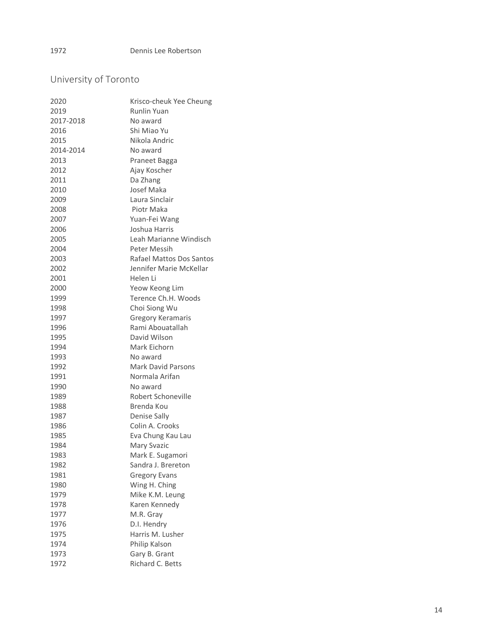### <span id="page-13-0"></span>University of Toronto

| 2020      | Krisco-cheuk Yee Cheung   |
|-----------|---------------------------|
| 2019      | Runlin Yuan               |
| 2017-2018 | No award                  |
| 2016      | Shi Miao Yu               |
| 2015      | Nikola Andric             |
| 2014-2014 | No award                  |
| 2013      | Praneet Bagga             |
| 2012      | Ajay Koscher              |
| 2011      | Da Zhang                  |
| 2010      | Josef Maka                |
| 2009      | Laura Sinclair            |
| 2008      | Piotr Maka                |
| 2007      | Yuan-Fei Wang             |
| 2006      | Joshua Harris             |
| 2005      | Leah Marianne Windisch    |
| 2004      | Peter Messih              |
| 2003      | Rafael Mattos Dos Santos  |
| 2002      | Jennifer Marie McKellar   |
| 2001      | Helen Li                  |
| 2000      | Yeow Keong Lim            |
| 1999      | Terence Ch.H. Woods       |
| 1998      | Choi Siong Wu             |
| 1997      | <b>Gregory Keramaris</b>  |
| 1996      | Rami Abouatallah          |
| 1995      | David Wilson              |
| 1994      | Mark Eichorn              |
| 1993      | No award                  |
| 1992      | <b>Mark David Parsons</b> |
| 1991      | Normala Arifan            |
| 1990      | No award                  |
| 1989      | Robert Schoneville        |
| 1988      | Brenda Kou                |
| 1987      | Denise Sally              |
| 1986      | Colin A. Crooks           |
| 1985      | Eva Chung Kau Lau         |
| 1984      | <b>Mary Svazic</b>        |
| 1983      | Mark E. Sugamori          |
| 1982      | Sandra J. Brereton        |
| 1981      | <b>Gregory Evans</b>      |
| 1980      | Wing H. Ching             |
| 1979      | Mike K.M. Leung           |
| 1978      | Karen Kennedy             |
| 1977      | M.R. Gray                 |
| 1976      | D.I. Hendry               |
| 1975      | Harris M. Lusher          |
| 1974      | Philip Kalson             |
| 1973      | Gary B. Grant             |
| 1972      | Richard C. Betts          |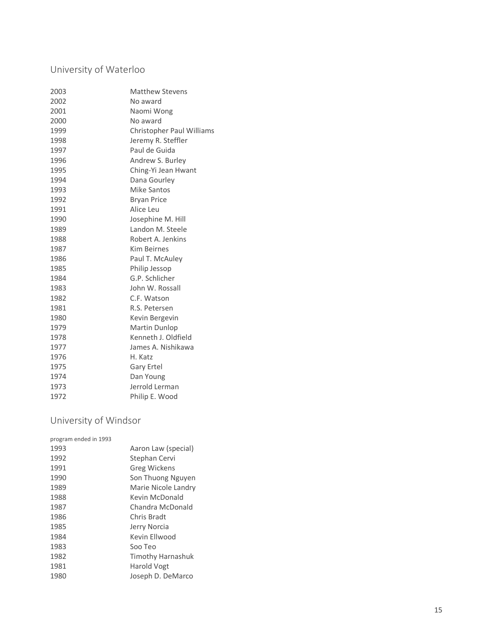#### <span id="page-14-0"></span>University of Waterloo

| 2003 | <b>Matthew Stevens</b>    |
|------|---------------------------|
| 2002 | No award                  |
| 2001 | Naomi Wong                |
| 2000 | No award                  |
| 1999 | Christopher Paul Williams |
| 1998 | Jeremy R. Steffler        |
| 1997 | Paul de Guida             |
| 1996 | Andrew S. Burley          |
| 1995 | Ching-Yi Jean Hwant       |
| 1994 | Dana Gourley              |
| 1993 | <b>Mike Santos</b>        |
| 1992 | <b>Bryan Price</b>        |
| 1991 | Alice Leu                 |
| 1990 | Josephine M. Hill         |
| 1989 | Landon M. Steele          |
| 1988 | Robert A. Jenkins         |
| 1987 | <b>Kim Beirnes</b>        |
| 1986 | Paul T. McAuley           |
| 1985 | Philip Jessop             |
| 1984 | G.P. Schlicher            |
| 1983 | John W. Rossall           |
| 1982 | C.F. Watson               |
| 1981 | R.S. Petersen             |
| 1980 | Kevin Bergevin            |
| 1979 | <b>Martin Dunlop</b>      |
| 1978 | Kenneth J. Oldfield       |
| 1977 | James A. Nishikawa        |
| 1976 | H. Katz                   |
| 1975 | Gary Ertel                |
| 1974 | Dan Young                 |
| 1973 | Jerrold Lerman            |
| 1972 | Philip E. Wood            |

### <span id="page-14-1"></span>University of Windsor

| program ended in 1993 |                     |
|-----------------------|---------------------|
|                       |                     |
| 1993                  | Aaron Law (special) |
| 1992                  | Stephan Cervi       |
| 1991                  | Greg Wickens        |
| 1990                  | Son Thuong Nguyen   |
| 1989                  | Marie Nicole Landry |
| 1988                  | Kevin McDonald      |
| 1987                  | Chandra McDonald    |
| 1986                  | Chris Bradt         |
| 1985                  | Jerry Norcia        |
| 1984                  | Kevin Fllwood       |
| 1983                  | Soo Teo             |
| 1982                  | Timothy Harnashuk   |
| 1981                  | Harold Vogt         |
| 1980                  | Joseph D. DeMarco   |